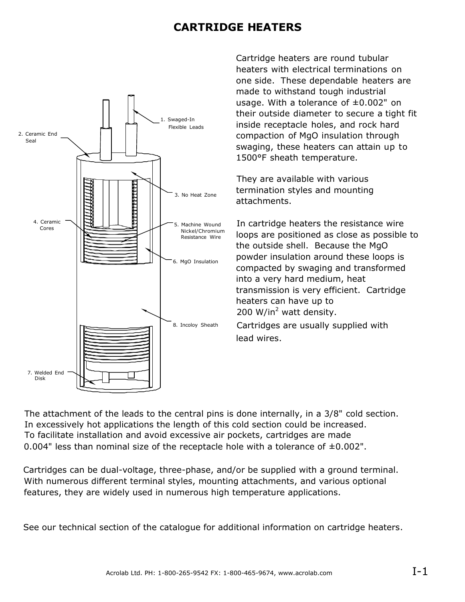### **CARTRIDGE HEATERS**



Cartridge heaters are round tubular heaters with electrical terminations on one side. These dependable heaters are made to withstand tough industrial usage. With a tolerance of  $\pm 0.002$ " on their outside diameter to secure a tight fit inside receptacle holes, and rock hard compaction of MgO insulation through swaging, these heaters can attain up to 1500°F sheath temperature.

They are available with various termination styles and mounting attachments.

In cartridge heaters the resistance wire loops are positioned as close as possible to the outside shell. Because the MgO powder insulation around these loops is compacted by swaging and transformed into a very hard medium, heat transmission is very efficient. Cartridge heaters can have up to 200 W/in<sup>2</sup> watt density.

Cartridges are usually supplied with lead wires.

The attachment of the leads to the central pins is done internally, in a 3/8" cold section. In excessively hot applications the length of this cold section could be increased. To facilitate installation and avoid excessive air pockets, cartridges are made 0.004" less than nominal size of the receptacle hole with a tolerance of  $\pm 0.002$ ".

Cartridges can be dual-voltage, three-phase, and/or be supplied with a ground terminal. With numerous different terminal styles, mounting attachments, and various optional features, they are widely used in numerous high temperature applications.

See our technical section of the catalogue for additional information on cartridge heaters.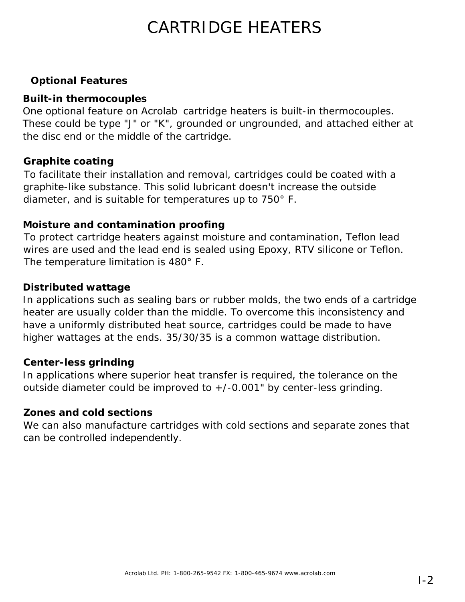## CARTRIDGE HEATERS

#### **Optional Features**

#### **Built-in thermocouples**

One optional feature on Acrolab cartridge heaters is built-in thermocouples. These could be type "J" or "K", grounded or ungrounded, and attached either at the disc end or the middle of the cartridge.

#### **Graphite coating**

To facilitate their installation and removal, cartridges could be coated with a graphite-like substance. This solid lubricant doesn't increase the outside diameter, and is suitable for temperatures up to 750° F.

#### **Moisture and contamination proofing**

To protect cartridge heaters against moisture and contamination, Teflon lead wires are used and the lead end is sealed using Epoxy, RTV silicone or Teflon. The temperature limitation is 480° F.

#### **Distributed wattage**

In applications such as sealing bars or rubber molds, the two ends of a cartridge heater are usually colder than the middle. To overcome this inconsistency and have a uniformly distributed heat source, cartridges could be made to have higher wattages at the ends. 35/30/35 is a common wattage distribution.

#### **Center-less grinding**

In applications where superior heat transfer is required, the tolerance on the outside diameter could be improved to +/-0.001" by center-less grinding.

#### **Zones and cold sections**

We can also manufacture cartridges with cold sections and separate zones that can be controlled independently.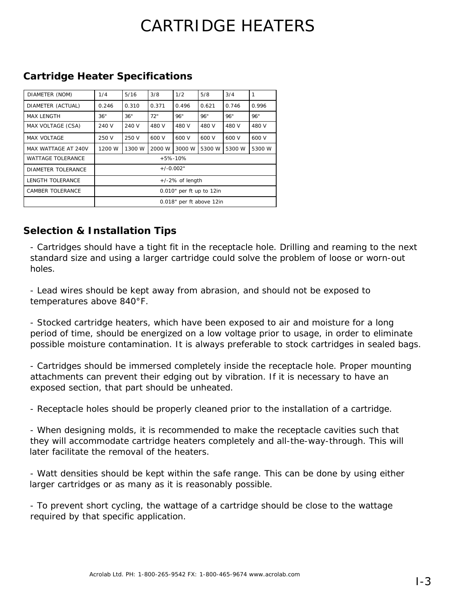# CARTRIDGE HEATERS

| DIAMETER (NOM)           | 1/4                      | 5/16   | 3/8    | 1/2    | 5/8    | 3/4    | 1      |
|--------------------------|--------------------------|--------|--------|--------|--------|--------|--------|
| DIAMETER (ACTUAL)        | 0.246                    | 0.310  | 0.371  | 0.496  | 0.621  | 0.746  | 0.996  |
| <b>MAX LENGTH</b>        | 36"                      | 36"    | 72"    | 96"    | 96"    | 96"    | 96"    |
| MAX VOLTAGE (CSA)        | 240 V                    | 240 V  | 480 V  | 480 V  | 480 V  | 480 V  | 480 V  |
| MAX VOLTAGE              | 250 V                    | 250 V  | 600 V  | 600 V  | 600 V  | 600 V  | 600 V  |
| MAX WATTAGE AT 240V      | 1200 W                   | 1300 W | 2000 W | 3000 W | 5300 W | 5300 W | 5300 W |
| <b>WATTAGE TOLERANCE</b> | $+5% -10%$               |        |        |        |        |        |        |
| DIAMETER TOLERANCE       | $+/-0.002"$              |        |        |        |        |        |        |
| LENGTH TOLERANCE         | $+/-2\%$ of length       |        |        |        |        |        |        |
| CAMBER TOLERANCE         | 0.010" per ft up to 12in |        |        |        |        |        |        |
|                          | 0.018" per ft above 12in |        |        |        |        |        |        |

#### **Cartridge Heater Specifications**

#### **Selection & Installation Tips**

- Cartridges should have a tight fit in the receptacle hole. Drilling and reaming to the next standard size and using a larger cartridge could solve the problem of loose or worn-out holes.

- Lead wires should be kept away from abrasion, and should not be exposed to temperatures above 840°F.

- Stocked cartridge heaters, which have been exposed to air and moisture for a long period of time, should be energized on a low voltage prior to usage, in order to eliminate possible moisture contamination. It is always preferable to stock cartridges in sealed bags.

- Cartridges should be immersed completely inside the receptacle hole. Proper mounting attachments can prevent their edging out by vibration. If it is necessary to have an exposed section, that part should be unheated.

- Receptacle holes should be properly cleaned prior to the installation of a cartridge.

- When designing molds, it is recommended to make the receptacle cavities such that they will accommodate cartridge heaters completely and all-the-way-through. This will later facilitate the removal of the heaters.

- Watt densities should be kept within the safe range. This can be done by using either larger cartridges or as many as it is reasonably possible.

- To prevent short cycling, the wattage of a cartridge should be close to the wattage required by that specific application.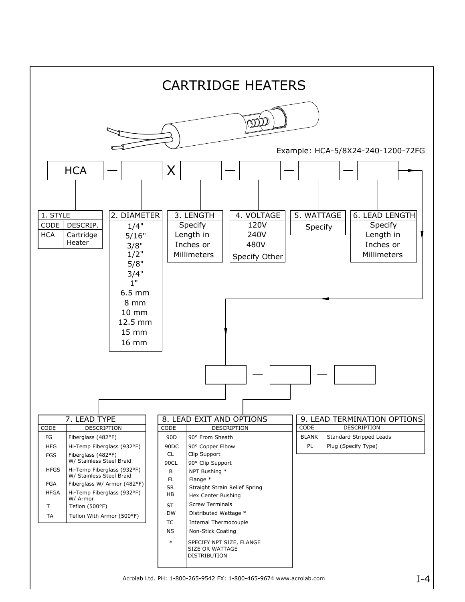

Acrolab Ltd. PH: 1-800-265-9542 FX: 1-800-465-9674 www.acrolab.com  $I-4$